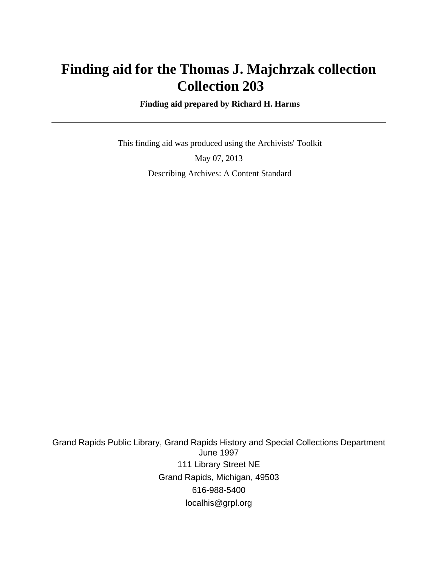## **Finding aid for the Thomas J. Majchrzak collection Collection 203**

 **Finding aid prepared by Richard H. Harms**

 This finding aid was produced using the Archivists' Toolkit May 07, 2013 Describing Archives: A Content Standard

Grand Rapids Public Library, Grand Rapids History and Special Collections Department June 1997 111 Library Street NE Grand Rapids, Michigan, 49503 616-988-5400 localhis@grpl.org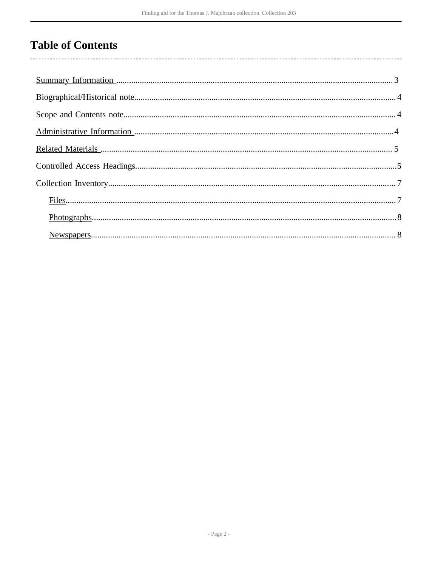# **Table of Contents**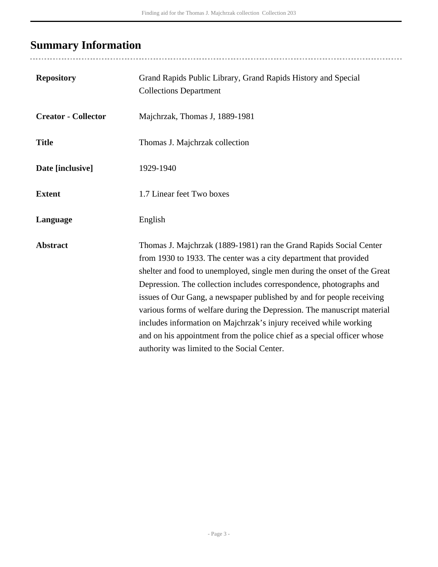## <span id="page-2-0"></span>**Summary Information**

..................................

| <b>Repository</b>          | Grand Rapids Public Library, Grand Rapids History and Special<br><b>Collections Department</b>                                                                                                                                                                                                                                                                                                                                                                                                                                                                                                                                                |
|----------------------------|-----------------------------------------------------------------------------------------------------------------------------------------------------------------------------------------------------------------------------------------------------------------------------------------------------------------------------------------------------------------------------------------------------------------------------------------------------------------------------------------------------------------------------------------------------------------------------------------------------------------------------------------------|
| <b>Creator - Collector</b> | Majchrzak, Thomas J, 1889-1981                                                                                                                                                                                                                                                                                                                                                                                                                                                                                                                                                                                                                |
| <b>Title</b>               | Thomas J. Majchrzak collection                                                                                                                                                                                                                                                                                                                                                                                                                                                                                                                                                                                                                |
| Date [inclusive]           | 1929-1940                                                                                                                                                                                                                                                                                                                                                                                                                                                                                                                                                                                                                                     |
| <b>Extent</b>              | 1.7 Linear feet Two boxes                                                                                                                                                                                                                                                                                                                                                                                                                                                                                                                                                                                                                     |
| Language                   | English                                                                                                                                                                                                                                                                                                                                                                                                                                                                                                                                                                                                                                       |
| <b>Abstract</b>            | Thomas J. Majchrzak (1889-1981) ran the Grand Rapids Social Center<br>from 1930 to 1933. The center was a city department that provided<br>shelter and food to unemployed, single men during the onset of the Great<br>Depression. The collection includes correspondence, photographs and<br>issues of Our Gang, a newspaper published by and for people receiving<br>various forms of welfare during the Depression. The manuscript material<br>includes information on Majchrzak's injury received while working<br>and on his appointment from the police chief as a special officer whose<br>authority was limited to the Social Center. |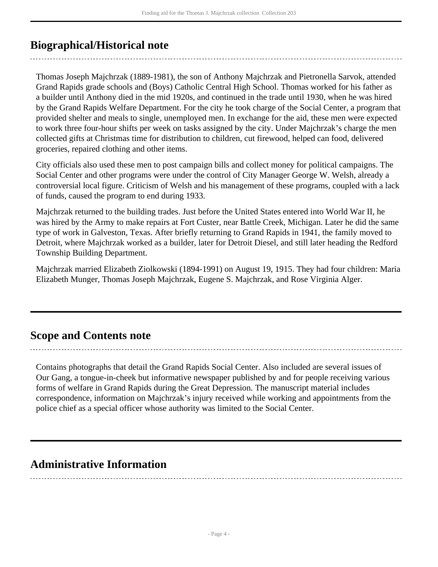## <span id="page-3-0"></span>**Biographical/Historical note**

Thomas Joseph Majchrzak (1889-1981), the son of Anthony Majchrzak and Pietronella Sarvok, attended Grand Rapids grade schools and (Boys) Catholic Central High School. Thomas worked for his father as a builder until Anthony died in the mid 1920s, and continued in the trade until 1930, when he was hired by the Grand Rapids Welfare Department. For the city he took charge of the Social Center, a program that provided shelter and meals to single, unemployed men. In exchange for the aid, these men were expected to work three four-hour shifts per week on tasks assigned by the city. Under Majchrzak's charge the men collected gifts at Christmas time for distribution to children, cut firewood, helped can food, delivered groceries, repaired clothing and other items.

City officials also used these men to post campaign bills and collect money for political campaigns. The Social Center and other programs were under the control of City Manager George W. Welsh, already a controversial local figure. Criticism of Welsh and his management of these programs, coupled with a lack of funds, caused the program to end during 1933.

Majchrzak returned to the building trades. Just before the United States entered into World War II, he was hired by the Army to make repairs at Fort Custer, near Battle Creek, Michigan. Later he did the same type of work in Galveston, Texas. After briefly returning to Grand Rapids in 1941, the family moved to Detroit, where Majchrzak worked as a builder, later for Detroit Diesel, and still later heading the Redford Township Building Department.

Majchrzak married Elizabeth Ziolkowski (1894-1991) on August 19, 1915. They had four children: Maria Elizabeth Munger, Thomas Joseph Majchrzak, Eugene S. Majchrzak, and Rose Virginia Alger.

### <span id="page-3-1"></span>**Scope and Contents note**

Contains photographs that detail the Grand Rapids Social Center. Also included are several issues of Our Gang, a tongue-in-cheek but informative newspaper published by and for people receiving various forms of welfare in Grand Rapids during the Great Depression. The manuscript material includes correspondence, information on Majchrzak's injury received while working and appointments from the police chief as a special officer whose authority was limited to the Social Center.

### <span id="page-3-2"></span>**Administrative Information**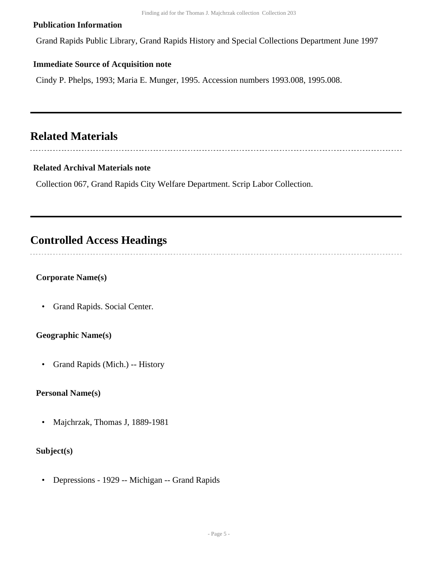#### **Publication Information**

Grand Rapids Public Library, Grand Rapids History and Special Collections Department June 1997

#### **Immediate Source of Acquisition note**

Cindy P. Phelps, 1993; Maria E. Munger, 1995. Accession numbers 1993.008, 1995.008.

## <span id="page-4-0"></span>**Related Materials**

#### **Related Archival Materials note**

Collection 067, Grand Rapids City Welfare Department. Scrip Labor Collection.

### <span id="page-4-1"></span>**Controlled Access Headings**

#### **Corporate Name(s)**

• Grand Rapids. Social Center.

#### **Geographic Name(s)**

• Grand Rapids (Mich.) -- History

#### **Personal Name(s)**

• Majchrzak, Thomas J, 1889-1981

#### **Subject(s)**

• Depressions - 1929 -- Michigan -- Grand Rapids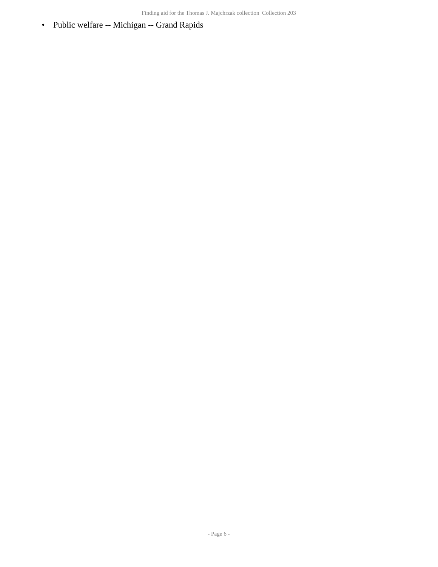• Public welfare -- Michigan -- Grand Rapids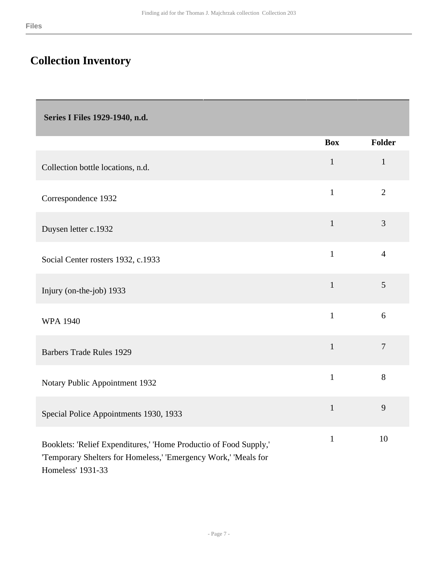## <span id="page-6-0"></span>**Collection Inventory**

<span id="page-6-1"></span> **Series I Files 1929-1940, n.d.** 

|                                                                                                                                                           | <b>Box</b>   | <b>Folder</b>  |
|-----------------------------------------------------------------------------------------------------------------------------------------------------------|--------------|----------------|
| Collection bottle locations, n.d.                                                                                                                         | $\mathbf{1}$ | $\mathbf{1}$   |
| Correspondence 1932                                                                                                                                       | $\mathbf{1}$ | $\overline{2}$ |
| Duysen letter c.1932                                                                                                                                      | $\mathbf{1}$ | 3              |
| Social Center rosters 1932, c.1933                                                                                                                        | $\mathbf{1}$ | $\overline{4}$ |
| Injury (on-the-job) 1933                                                                                                                                  | $\mathbf{1}$ | 5              |
| <b>WPA 1940</b>                                                                                                                                           | $\mathbf{1}$ | 6              |
| <b>Barbers Trade Rules 1929</b>                                                                                                                           | $\mathbf{1}$ | $\overline{7}$ |
| Notary Public Appointment 1932                                                                                                                            | $\mathbf{1}$ | 8              |
| Special Police Appointments 1930, 1933                                                                                                                    | $\mathbf{1}$ | 9              |
| Booklets: 'Relief Expenditures,' 'Home Productio of Food Supply,'<br>'Temporary Shelters for Homeless,' 'Emergency Work,' 'Meals for<br>Homeless' 1931-33 | $\mathbf{1}$ | 10             |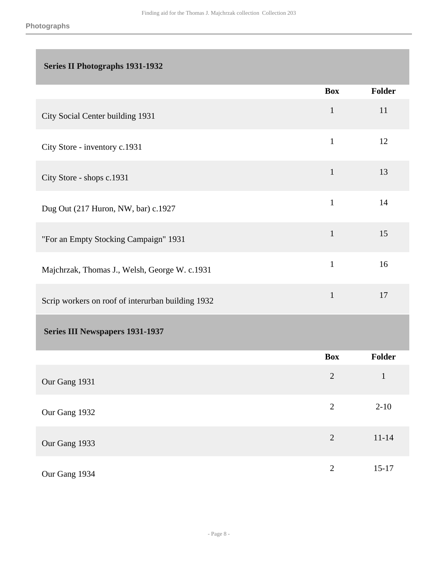### <span id="page-7-0"></span> **Series II Photographs 1931-1932**

<span id="page-7-1"></span>

|                                                   | <b>Box</b>     | Folder        |
|---------------------------------------------------|----------------|---------------|
| City Social Center building 1931                  | $\mathbf{1}$   | 11            |
| City Store - inventory c.1931                     | $\mathbf{1}$   | 12            |
| City Store - shops c.1931                         | $\mathbf{1}$   | 13            |
| Dug Out (217 Huron, NW, bar) c.1927               | $\mathbf{1}$   | 14            |
| "For an Empty Stocking Campaign" 1931             | $\mathbf{1}$   | 15            |
| Majchrzak, Thomas J., Welsh, George W. c.1931     | $\mathbf{1}$   | 16            |
| Scrip workers on roof of interurban building 1932 | $\mathbf{1}$   | 17            |
| <b>Series III Newspapers 1931-1937</b>            |                |               |
|                                                   | <b>Box</b>     | <b>Folder</b> |
| Our Gang 1931                                     | $\overline{2}$ | $\mathbf{1}$  |
| Our Gang 1932                                     | $\overline{2}$ | $2 - 10$      |
| Our Gang 1933                                     | $\overline{2}$ | $11 - 14$     |
| Our Gang 1934                                     | $\overline{2}$ | $15-17$       |